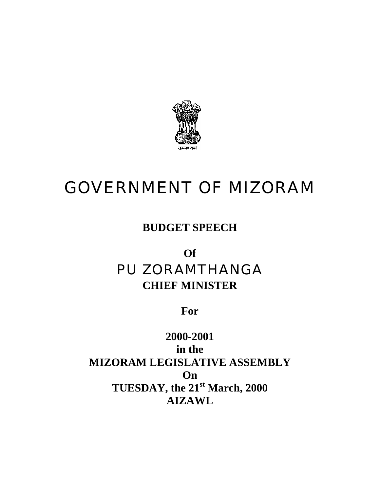

# GOVERNMENT OF MIZORAM

**BUDGET SPEECH** 

# **Of** PU ZORAMTHANGA **CHIEF MINISTER**

**For** 

**2000-2001 in the MIZORAM LEGISLATIVE ASSEMBLY On TUESDAY, the 21st March, 2000 AIZAWL**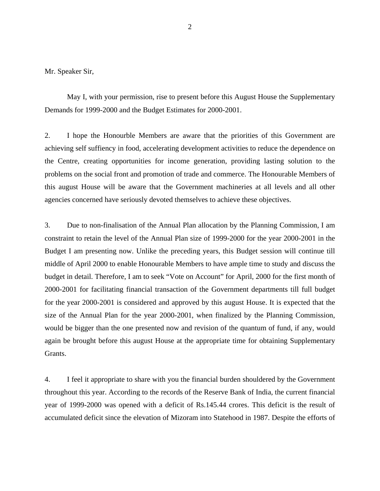Mr. Speaker Sir,

 May I, with your permission, rise to present before this August House the Supplementary Demands for 1999-2000 and the Budget Estimates for 2000-2001.

2. I hope the Honourble Members are aware that the priorities of this Government are achieving self suffiency in food, accelerating development activities to reduce the dependence on the Centre, creating opportunities for income generation, providing lasting solution to the problems on the social front and promotion of trade and commerce. The Honourable Members of this august House will be aware that the Government machineries at all levels and all other agencies concerned have seriously devoted themselves to achieve these objectives.

3. Due to non-finalisation of the Annual Plan allocation by the Planning Commission, I am constraint to retain the level of the Annual Plan size of 1999-2000 for the year 2000-2001 in the Budget I am presenting now. Unlike the preceding years, this Budget session will continue till middle of April 2000 to enable Honourable Members to have ample time to study and discuss the budget in detail. Therefore, I am to seek "Vote on Account" for April, 2000 for the first month of 2000-2001 for facilitating financial transaction of the Government departments till full budget for the year 2000-2001 is considered and approved by this august House. It is expected that the size of the Annual Plan for the year 2000-2001, when finalized by the Planning Commission, would be bigger than the one presented now and revision of the quantum of fund, if any, would again be brought before this august House at the appropriate time for obtaining Supplementary Grants.

4. I feel it appropriate to share with you the financial burden shouldered by the Government throughout this year. According to the records of the Reserve Bank of India, the current financial year of 1999-2000 was opened with a deficit of Rs.145.44 crores. This deficit is the result of accumulated deficit since the elevation of Mizoram into Statehood in 1987. Despite the efforts of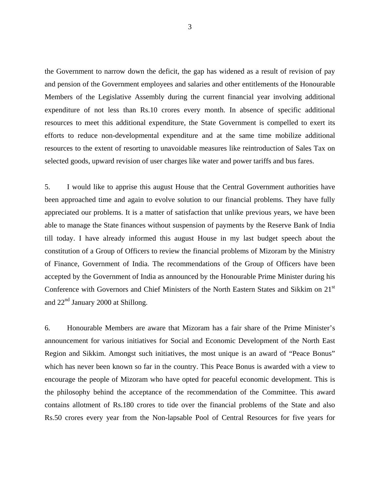the Government to narrow down the deficit, the gap has widened as a result of revision of pay and pension of the Government employees and salaries and other entitlements of the Honourable Members of the Legislative Assembly during the current financial year involving additional expenditure of not less than Rs.10 crores every month. In absence of specific additional resources to meet this additional expenditure, the State Government is compelled to exert its efforts to reduce non-developmental expenditure and at the same time mobilize additional resources to the extent of resorting to unavoidable measures like reintroduction of Sales Tax on selected goods, upward revision of user charges like water and power tariffs and bus fares.

5. I would like to apprise this august House that the Central Government authorities have been approached time and again to evolve solution to our financial problems. They have fully appreciated our problems. It is a matter of satisfaction that unlike previous years, we have been able to manage the State finances without suspension of payments by the Reserve Bank of India till today. I have already informed this august House in my last budget speech about the constitution of a Group of Officers to review the financial problems of Mizoram by the Ministry of Finance, Government of India. The recommendations of the Group of Officers have been accepted by the Government of India as announced by the Honourable Prime Minister during his Conference with Governors and Chief Ministers of the North Eastern States and Sikkim on 21<sup>st</sup> and  $22<sup>nd</sup>$  January 2000 at Shillong.

6. Honourable Members are aware that Mizoram has a fair share of the Prime Minister's announcement for various initiatives for Social and Economic Development of the North East Region and Sikkim. Amongst such initiatives, the most unique is an award of "Peace Bonus" which has never been known so far in the country. This Peace Bonus is awarded with a view to encourage the people of Mizoram who have opted for peaceful economic development. This is the philosophy behind the acceptance of the recommendation of the Committee. This award contains allotment of Rs.180 crores to tide over the financial problems of the State and also Rs.50 crores every year from the Non-lapsable Pool of Central Resources for five years for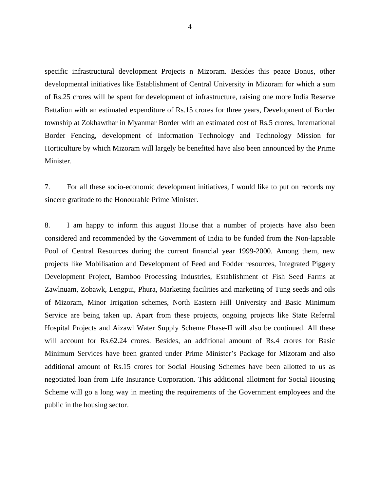specific infrastructural development Projects n Mizoram. Besides this peace Bonus, other developmental initiatives like Establishment of Central University in Mizoram for which a sum of Rs.25 crores will be spent for development of infrastructure, raising one more India Reserve Battalion with an estimated expenditure of Rs.15 crores for three years, Development of Border township at Zokhawthar in Myanmar Border with an estimated cost of Rs.5 crores, International Border Fencing, development of Information Technology and Technology Mission for Horticulture by which Mizoram will largely be benefited have also been announced by the Prime Minister.

7. For all these socio-economic development initiatives, I would like to put on records my sincere gratitude to the Honourable Prime Minister.

8. I am happy to inform this august House that a number of projects have also been considered and recommended by the Government of India to be funded from the Non-lapsable Pool of Central Resources during the current financial year 1999-2000. Among them, new projects like Mobilisation and Development of Feed and Fodder resources, Integrated Piggery Development Project, Bamboo Processing Industries, Establishment of Fish Seed Farms at Zawlnuam, Zobawk, Lengpui, Phura, Marketing facilities and marketing of Tung seeds and oils of Mizoram, Minor Irrigation schemes, North Eastern Hill University and Basic Minimum Service are being taken up. Apart from these projects, ongoing projects like State Referral Hospital Projects and Aizawl Water Supply Scheme Phase-II will also be continued. All these will account for Rs.62.24 crores. Besides, an additional amount of Rs.4 crores for Basic Minimum Services have been granted under Prime Minister's Package for Mizoram and also additional amount of Rs.15 crores for Social Housing Schemes have been allotted to us as negotiated loan from Life Insurance Corporation. This additional allotment for Social Housing Scheme will go a long way in meeting the requirements of the Government employees and the public in the housing sector.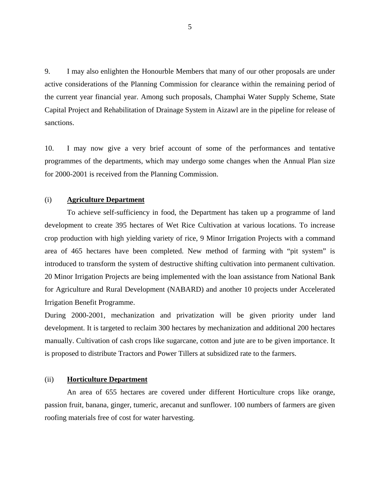9. I may also enlighten the Honourble Members that many of our other proposals are under active considerations of the Planning Commission for clearance within the remaining period of the current year financial year. Among such proposals, Champhai Water Supply Scheme, State Capital Project and Rehabilitation of Drainage System in Aizawl are in the pipeline for release of sanctions.

10. I may now give a very brief account of some of the performances and tentative programmes of the departments, which may undergo some changes when the Annual Plan size for 2000-2001 is received from the Planning Commission.

# (i) **Agriculture Department**

To achieve self-sufficiency in food, the Department has taken up a programme of land development to create 395 hectares of Wet Rice Cultivation at various locations. To increase crop production with high yielding variety of rice, 9 Minor Irrigation Projects with a command area of 465 hectares have been completed. New method of farming with "pit system" is introduced to transform the system of destructive shifting cultivation into permanent cultivation. 20 Minor Irrigation Projects are being implemented with the loan assistance from National Bank for Agriculture and Rural Development (NABARD) and another 10 projects under Accelerated Irrigation Benefit Programme.

During 2000-2001, mechanization and privatization will be given priority under land development. It is targeted to reclaim 300 hectares by mechanization and additional 200 hectares manually. Cultivation of cash crops like sugarcane, cotton and jute are to be given importance. It is proposed to distribute Tractors and Power Tillers at subsidized rate to the farmers.

# (ii) **Horticulture Department**

An area of 655 hectares are covered under different Horticulture crops like orange, passion fruit, banana, ginger, tumeric, arecanut and sunflower. 100 numbers of farmers are given roofing materials free of cost for water harvesting.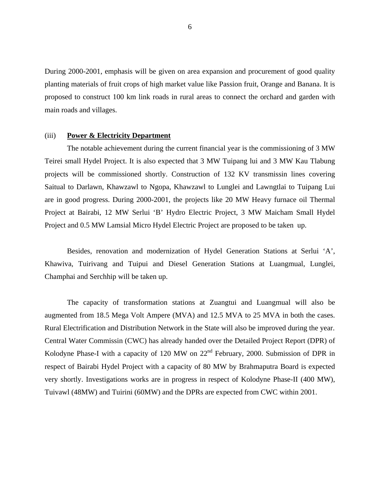During 2000-2001, emphasis will be given on area expansion and procurement of good quality planting materials of fruit crops of high market value like Passion fruit, Orange and Banana. It is proposed to construct 100 km link roads in rural areas to connect the orchard and garden with main roads and villages.

# (iii) **Power & Electricity Department**

The notable achievement during the current financial year is the commissioning of 3 MW Teirei small Hydel Project. It is also expected that 3 MW Tuipang lui and 3 MW Kau Tlabung projects will be commissioned shortly. Construction of 132 KV transmissin lines covering Saitual to Darlawn, Khawzawl to Ngopa, Khawzawl to Lunglei and Lawngtlai to Tuipang Lui are in good progress. During 2000-2001, the projects like 20 MW Heavy furnace oil Thermal Project at Bairabi, 12 MW Serlui 'B' Hydro Electric Project, 3 MW Maicham Small Hydel Project and 0.5 MW Lamsial Micro Hydel Electric Project are proposed to be taken up.

Besides, renovation and modernization of Hydel Generation Stations at Serlui 'A', Khawiva, Tuirivang and Tuipui and Diesel Generation Stations at Luangmual, Lunglei, Champhai and Serchhip will be taken up.

The capacity of transformation stations at Zuangtui and Luangmual will also be augmented from 18.5 Mega Volt Ampere (MVA) and 12.5 MVA to 25 MVA in both the cases. Rural Electrification and Distribution Network in the State will also be improved during the year. Central Water Commissin (CWC) has already handed over the Detailed Project Report (DPR) of Kolodyne Phase-I with a capacity of 120 MW on  $22<sup>nd</sup>$  February, 2000. Submission of DPR in respect of Bairabi Hydel Project with a capacity of 80 MW by Brahmaputra Board is expected very shortly. Investigations works are in progress in respect of Kolodyne Phase-II (400 MW), Tuivawl (48MW) and Tuirini (60MW) and the DPRs are expected from CWC within 2001.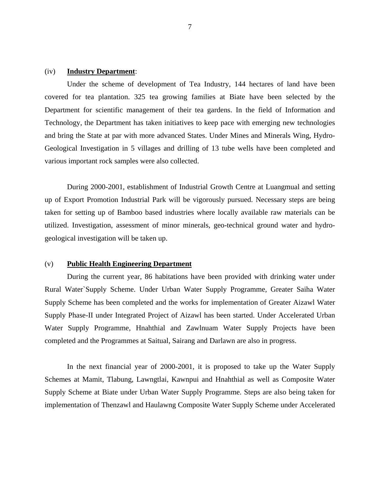# (iv) **Industry Department**:

Under the scheme of development of Tea Industry, 144 hectares of land have been covered for tea plantation. 325 tea growing families at Biate have been selected by the Department for scientific management of their tea gardens. In the field of Information and Technology, the Department has taken initiatives to keep pace with emerging new technologies and bring the State at par with more advanced States. Under Mines and Minerals Wing, Hydro-Geological Investigation in 5 villages and drilling of 13 tube wells have been completed and various important rock samples were also collected.

During 2000-2001, establishment of Industrial Growth Centre at Luangmual and setting up of Export Promotion Industrial Park will be vigorously pursued. Necessary steps are being taken for setting up of Bamboo based industries where locally available raw materials can be utilized. Investigation, assessment of minor minerals, geo-technical ground water and hydrogeological investigation will be taken up.

#### (v) **Public Health Engineering Department**

During the current year, 86 habitations have been provided with drinking water under Rural Water`Supply Scheme. Under Urban Water Supply Programme, Greater Saiha Water Supply Scheme has been completed and the works for implementation of Greater Aizawl Water Supply Phase-II under Integrated Project of Aizawl has been started. Under Accelerated Urban Water Supply Programme, Hnahthial and Zawlnuam Water Supply Projects have been completed and the Programmes at Saitual, Sairang and Darlawn are also in progress.

In the next financial year of 2000-2001, it is proposed to take up the Water Supply Schemes at Mamit, Tlabung, Lawngtlai, Kawnpui and Hnahthial as well as Composite Water Supply Scheme at Biate under Urban Water Supply Programme. Steps are also being taken for implementation of Thenzawl and Haulawng Composite Water Supply Scheme under Accelerated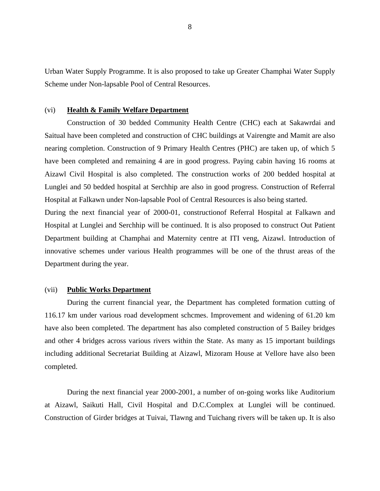Urban Water Supply Programme. It is also proposed to take up Greater Champhai Water Supply Scheme under Non-lapsable Pool of Central Resources.

# (vi) **Health & Family Welfare Department**

Construction of 30 bedded Community Health Centre (CHC) each at Sakawrdai and Saitual have been completed and construction of CHC buildings at Vairengte and Mamit are also nearing completion. Construction of 9 Primary Health Centres (PHC) are taken up, of which 5 have been completed and remaining 4 are in good progress. Paying cabin having 16 rooms at Aizawl Civil Hospital is also completed. The construction works of 200 bedded hospital at Lunglei and 50 bedded hospital at Serchhip are also in good progress. Construction of Referral Hospital at Falkawn under Non-lapsable Pool of Central Resources is also being started.

During the next financial year of 2000-01, constructionof Referral Hospital at Falkawn and Hospital at Lunglei and Serchhip will be continued. It is also proposed to construct Out Patient Department building at Champhai and Maternity centre at ITI veng, Aizawl. Introduction of innovative schemes under various Health programmes will be one of the thrust areas of the Department during the year.

#### (vii) **Public Works Department**

During the current financial year, the Department has completed formation cutting of 116.17 km under various road development schcmes. Improvement and widening of 61.20 km have also been completed. The department has also completed construction of 5 Bailey bridges and other 4 bridges across various rivers within the State. As many as 15 important buildings including additional Secretariat Building at Aizawl, Mizoram House at Vellore have also been completed.

During the next financial year 2000-2001, a number of on-going works like Auditorium at Aizawl, Saikuti Hall, Civil Hospital and D.C.Complex at Lunglei will be continued. Construction of Girder bridges at Tuivai, Tlawng and Tuichang rivers will be taken up. It is also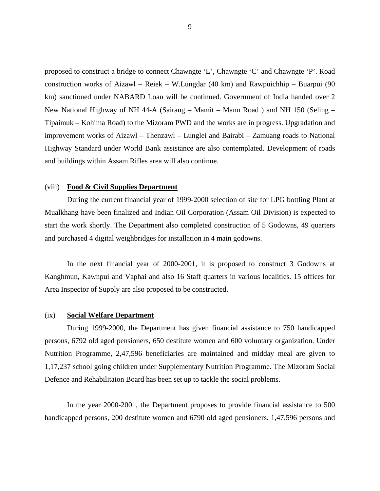proposed to construct a bridge to connect Chawngte 'L', Chawngte 'C' and Chawngte 'P'. Road construction works of Aizawl – Reiek – W.Lungdar (40 km) and Rawpuichhip – Buarpui (90 km) sanctioned under NABARD Loan will be continued. Government of India handed over 2 New National Highway of NH 44-A (Sairang – Mamit – Manu Road ) and NH 150 (Seling – Tipaimuk – Kohima Road) to the Mizoram PWD and the works are in progress. Upgradation and improvement works of Aizawl – Thenzawl – Lunglei and Bairabi – Zamuang roads to National Highway Standard under World Bank assistance are also contemplated. Development of roads and buildings within Assam Rifles area will also continue.

#### (viii) **Food & Civil Supplies Department**

During the current financial year of 1999-2000 selection of site for LPG bottling Plant at Mualkhang have been finalized and Indian Oil Corporation (Assam Oil Division) is expected to start the work shortly. The Department also completed construction of 5 Godowns, 49 quarters and purchased 4 digital weighbridges for installation in 4 main godowns.

In the next financial year of 2000-2001, it is proposed to construct 3 Godowns at Kanghmun, Kawnpui and Vaphai and also 16 Staff quarters in various localities. 15 offices for Area Inspector of Supply are also proposed to be constructed.

# (ix) **Social Welfare Department**

During 1999-2000, the Department has given financial assistance to 750 handicapped persons, 6792 old aged pensioners, 650 destitute women and 600 voluntary organization. Under Nutrition Programme, 2,47,596 beneficiaries are maintained and midday meal are given to 1,17,237 school going children under Supplementary Nutrition Programme. The Mizoram Social Defence and Rehabilitaion Board has been set up to tackle the social problems.

In the year 2000-2001, the Department proposes to provide financial assistance to 500 handicapped persons, 200 destitute women and 6790 old aged pensioners. 1,47,596 persons and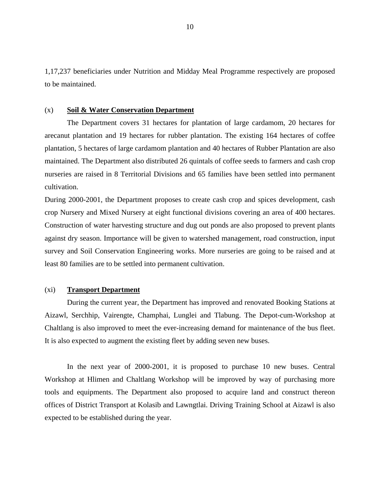1,17,237 beneficiaries under Nutrition and Midday Meal Programme respectively are proposed to be maintained.

# (x) **Soil & Water Conservation Department**

The Department covers 31 hectares for plantation of large cardamom, 20 hectares for arecanut plantation and 19 hectares for rubber plantation. The existing 164 hectares of coffee plantation, 5 hectares of large cardamom plantation and 40 hectares of Rubber Plantation are also maintained. The Department also distributed 26 quintals of coffee seeds to farmers and cash crop nurseries are raised in 8 Territorial Divisions and 65 families have been settled into permanent cultivation.

During 2000-2001, the Department proposes to create cash crop and spices development, cash crop Nursery and Mixed Nursery at eight functional divisions covering an area of 400 hectares. Construction of water harvesting structure and dug out ponds are also proposed to prevent plants against dry season. Importance will be given to watershed management, road construction, input survey and Soil Conservation Engineering works. More nurseries are going to be raised and at least 80 families are to be settled into permanent cultivation.

# (xi) **Transport Department**

During the current year, the Department has improved and renovated Booking Stations at Aizawl, Serchhip, Vairengte, Champhai, Lunglei and Tlabung. The Depot-cum-Workshop at Chaltlang is also improved to meet the ever-increasing demand for maintenance of the bus fleet. It is also expected to augment the existing fleet by adding seven new buses.

In the next year of 2000-2001, it is proposed to purchase 10 new buses. Central Workshop at Hlimen and Chaltlang Workshop will be improved by way of purchasing more tools and equipments. The Department also proposed to acquire land and construct thereon offices of District Transport at Kolasib and Lawngtlai. Driving Training School at Aizawl is also expected to be established during the year.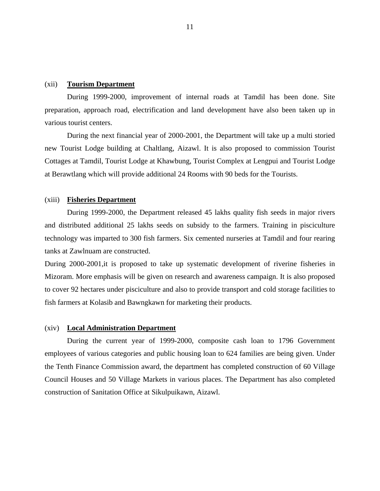#### (xii) **Tourism Department**

During 1999-2000, improvement of internal roads at Tamdil has been done. Site preparation, approach road, electrification and land development have also been taken up in various tourist centers.

During the next financial year of 2000-2001, the Department will take up a multi storied new Tourist Lodge building at Chaltlang, Aizawl. It is also proposed to commission Tourist Cottages at Tamdil, Tourist Lodge at Khawbung, Tourist Complex at Lengpui and Tourist Lodge at Berawtlang which will provide additional 24 Rooms with 90 beds for the Tourists.

#### (xiii) **Fisheries Department**

During 1999-2000, the Department released 45 lakhs quality fish seeds in major rivers and distributed additional 25 lakhs seeds on subsidy to the farmers. Training in pisciculture technology was imparted to 300 fish farmers. Six cemented nurseries at Tamdil and four rearing tanks at Zawlnuam are constructed.

During 2000-2001,it is proposed to take up systematic development of riverine fisheries in Mizoram. More emphasis will be given on research and awareness campaign. It is also proposed to cover 92 hectares under pisciculture and also to provide transport and cold storage facilities to fish farmers at Kolasib and Bawngkawn for marketing their products.

#### (xiv) **Local Administration Department**

During the current year of 1999-2000, composite cash loan to 1796 Government employees of various categories and public housing loan to 624 families are being given. Under the Tenth Finance Commission award, the department has completed construction of 60 Village Council Houses and 50 Village Markets in various places. The Department has also completed construction of Sanitation Office at Sikulpuikawn, Aizawl.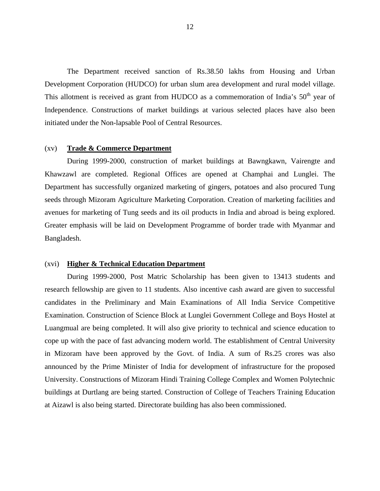The Department received sanction of Rs.38.50 lakhs from Housing and Urban Development Corporation (HUDCO) for urban slum area development and rural model village. This allotment is received as grant from HUDCO as a commemoration of India's  $50<sup>th</sup>$  year of Independence. Constructions of market buildings at various selected places have also been initiated under the Non-lapsable Pool of Central Resources.

# (xv) **Trade & Commerce Department**

During 1999-2000, construction of market buildings at Bawngkawn, Vairengte and Khawzawl are completed. Regional Offices are opened at Champhai and Lunglei. The Department has successfully organized marketing of gingers, potatoes and also procured Tung seeds through Mizoram Agriculture Marketing Corporation. Creation of marketing facilities and avenues for marketing of Tung seeds and its oil products in India and abroad is being explored. Greater emphasis will be laid on Development Programme of border trade with Myanmar and Bangladesh.

# (xvi) **Higher & Technical Education Department**

During 1999-2000, Post Matric Scholarship has been given to 13413 students and research fellowship are given to 11 students. Also incentive cash award are given to successful candidates in the Preliminary and Main Examinations of All India Service Competitive Examination. Construction of Science Block at Lunglei Government College and Boys Hostel at Luangmual are being completed. It will also give priority to technical and science education to cope up with the pace of fast advancing modern world. The establishment of Central University in Mizoram have been approved by the Govt. of India. A sum of Rs.25 crores was also announced by the Prime Minister of India for development of infrastructure for the proposed University. Constructions of Mizoram Hindi Training College Complex and Women Polytechnic buildings at Durtlang are being started. Construction of College of Teachers Training Education at Aizawl is also being started. Directorate building has also been commissioned.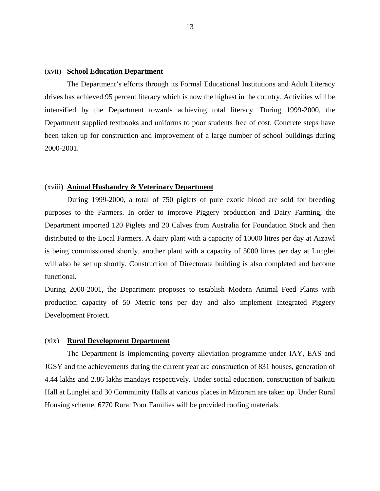# (xvii) **School Education Department**

The Department's efforts through its Formal Educational Institutions and Adult Literacy drives has achieved 95 percent literacy which is now the highest in the country. Activities will be intensified by the Department towards achieving total literacy. During 1999-2000, the Department supplied textbooks and uniforms to poor students free of cost. Concrete steps have been taken up for construction and improvement of a large number of school buildings during 2000-2001.

#### (xviii) **Animal Husbandry & Veterinary Department**

During 1999-2000, a total of 750 piglets of pure exotic blood are sold for breeding purposes to the Farmers. In order to improve Piggery production and Dairy Farming, the Department imported 120 Piglets and 20 Calves from Australia for Foundation Stock and then distributed to the Local Farmers. A dairy plant with a capacity of 10000 litres per day at Aizawl is being commissioned shortly, another plant with a capacity of 5000 litres per day at Lunglei will also be set up shortly. Construction of Directorate building is also completed and become functional.

During 2000-2001, the Department proposes to establish Modern Animal Feed Plants with production capacity of 50 Metric tons per day and also implement Integrated Piggery Development Project.

# (xix) **Rural Development Department**

The Department is implementing poverty alleviation programme under IAY, EAS and JGSY and the achievements during the current year are construction of 831 houses, generation of 4.44 lakhs and 2.86 lakhs mandays respectively. Under social education, construction of Saikuti Hall at Lunglei and 30 Community Halls at various places in Mizoram are taken up. Under Rural Housing scheme, 6770 Rural Poor Families will be provided roofing materials.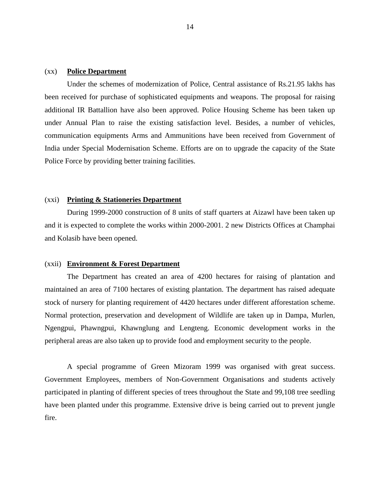# (xx) **Police Department**

Under the schemes of modernization of Police, Central assistance of Rs.21.95 lakhs has been received for purchase of sophisticated equipments and weapons. The proposal for raising additional IR Battallion have also been approved. Police Housing Scheme has been taken up under Annual Plan to raise the existing satisfaction level. Besides, a number of vehicles, communication equipments Arms and Ammunitions have been received from Government of India under Special Modernisation Scheme. Efforts are on to upgrade the capacity of the State Police Force by providing better training facilities.

#### (xxi) **Printing & Stationeries Department**

During 1999-2000 construction of 8 units of staff quarters at Aizawl have been taken up and it is expected to complete the works within 2000-2001. 2 new Districts Offices at Champhai and Kolasib have been opened.

# (xxii) **Environment & Forest Department**

The Department has created an area of 4200 hectares for raising of plantation and maintained an area of 7100 hectares of existing plantation. The department has raised adequate stock of nursery for planting requirement of 4420 hectares under different afforestation scheme. Normal protection, preservation and development of Wildlife are taken up in Dampa, Murlen, Ngengpui, Phawngpui, Khawnglung and Lengteng. Economic development works in the peripheral areas are also taken up to provide food and employment security to the people.

A special programme of Green Mizoram 1999 was organised with great success. Government Employees, members of Non-Government Organisations and students actively participated in planting of different species of trees throughout the State and 99,108 tree seedling have been planted under this programme. Extensive drive is being carried out to prevent jungle fire.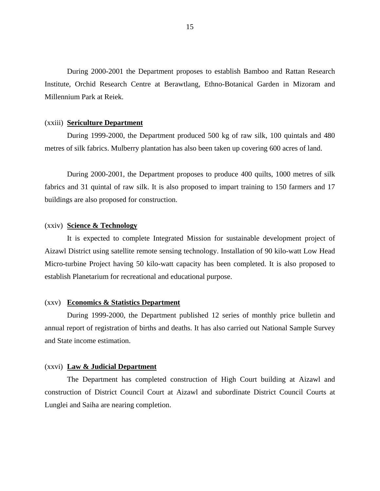During 2000-2001 the Department proposes to establish Bamboo and Rattan Research Institute, Orchid Research Centre at Berawtlang, Ethno-Botanical Garden in Mizoram and Millennium Park at Reiek.

#### (xxiii) **Sericulture Department**

During 1999-2000, the Department produced 500 kg of raw silk, 100 quintals and 480 metres of silk fabrics. Mulberry plantation has also been taken up covering 600 acres of land.

During 2000-2001, the Department proposes to produce 400 quilts, 1000 metres of silk fabrics and 31 quintal of raw silk. It is also proposed to impart training to 150 farmers and 17 buildings are also proposed for construction.

#### (xxiv) **Science & Technology**

It is expected to complete Integrated Mission for sustainable development project of Aizawl District using satellite remote sensing technology. Installation of 90 kilo-watt Low Head Micro-turbine Project having 50 kilo-watt capacity has been completed. It is also proposed to establish Planetarium for recreational and educational purpose.

#### (xxv) **Economics & Statistics Department**

During 1999-2000, the Department published 12 series of monthly price bulletin and annual report of registration of births and deaths. It has also carried out National Sample Survey and State income estimation.

#### (xxvi) **Law & Judicial Department**

The Department has completed construction of High Court building at Aizawl and construction of District Council Court at Aizawl and subordinate District Council Courts at Lunglei and Saiha are nearing completion.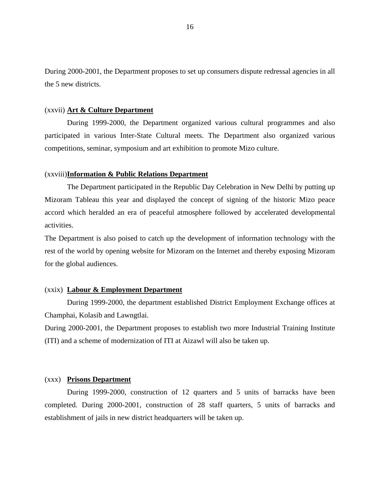During 2000-2001, the Department proposes to set up consumers dispute redressal agencies in all the 5 new districts.

# (xxvii) **Art & Culture Department**

During 1999-2000, the Department organized various cultural programmes and also participated in various Inter-State Cultural meets. The Department also organized various competitions, seminar, symposium and art exhibition to promote Mizo culture.

#### (xxviii)**Information & Public Relations Department**

The Department participated in the Republic Day Celebration in New Delhi by putting up Mizoram Tableau this year and displayed the concept of signing of the historic Mizo peace accord which heralded an era of peaceful atmosphere followed by accelerated developmental activities.

The Department is also poised to catch up the development of information technology with the rest of the world by opening website for Mizoram on the Internet and thereby exposing Mizoram for the global audiences.

#### (xxix) **Labour & Employment Department**

During 1999-2000, the department established District Employment Exchange offices at Champhai, Kolasib and Lawngtlai.

During 2000-2001, the Department proposes to establish two more Industrial Training Institute (ITI) and a scheme of modernization of ITI at Aizawl will also be taken up.

#### (xxx) **Prisons Department**

During 1999-2000, construction of 12 quarters and 5 units of barracks have been completed. During 2000-2001, construction of 28 staff quarters, 5 units of barracks and establishment of jails in new district headquarters will be taken up.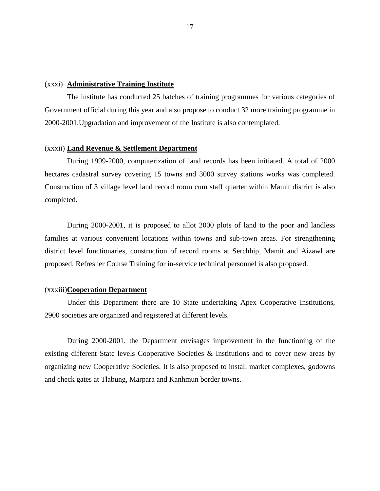#### (xxxi) **Administrative Training Institute**

The institute has conducted 25 batches of training programmes for various categories of Government official during this year and also propose to conduct 32 more training programme in 2000-2001.Upgradation and improvement of the Institute is also contemplated.

# (xxxii) **Land Revenue & Settlement Department**

During 1999-2000, computerization of land records has been initiated. A total of 2000 hectares cadastral survey covering 15 towns and 3000 survey stations works was completed. Construction of 3 village level land record room cum staff quarter within Mamit district is also completed.

During 2000-2001, it is proposed to allot 2000 plots of land to the poor and landless families at various convenient locations within towns and sub-town areas. For strengthening district level functionaries, construction of record rooms at Serchhip, Mamit and Aizawl are proposed. Refresher Course Training for in-service technical personnel is also proposed.

#### (xxxiii)**Cooperation Department**

Under this Department there are 10 State undertaking Apex Cooperative Institutions, 2900 societies are organized and registered at different levels.

During 2000-2001, the Department envisages improvement in the functioning of the existing different State levels Cooperative Societies & Institutions and to cover new areas by organizing new Cooperative Societies. It is also proposed to install market complexes, godowns and check gates at Tlabung, Marpara and Kanhmun border towns.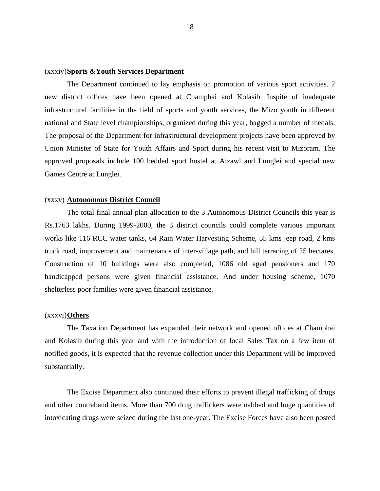# (xxxiv)**Sports &Youth Services Department**

The Department continued to lay emphasis on promotion of various sport activities. 2 new district offices have been opened at Champhai and Kolasib. Inspite of inadequate infrastructural facilities in the field of sports and youth services, the Mizo youth in different national and State level championships, organized during this year, bagged a number of medals. The proposal of the Department for infrastructural development projects have been approved by Union Minister of State for Youth Affairs and Sport during his recent visit to Mizoram. The approved proposals include 100 bedded sport hostel at Aizawl and Lunglei and special new Games Centre at Lunglei.

#### (xxxv) **Autonomous District Council**

The total final annual plan allocation to the 3 Autonomous District Councils this year is Rs.1763 lakhs. During 1999-2000, the 3 district councils could complete various important works like 116 RCC water tanks, 64 Rain Water Harvesting Scheme, 55 kms jeep road, 2 kms truck road, improvement and maintenance of inter-village path, and hill terracing of 25 hectares. Construction of 10 buildings were also completed, 1086 old aged pensioners and 170 handicapped persons were given financial assistance. And under housing scheme, 1070 shelterless poor families were given financial assistance.

# (xxxvi)**Others**

The Taxation Department has expanded their network and opened offices at Champhai and Kolasib during this year and with the introduction of local Sales Tax on a few item of notified goods, it is expected that the revenue collection under this Department will be improved substantially.

The Excise Department also continued their efforts to prevent illegal trafficking of drugs and other contraband items. More than 700 drug traffickers were nabbed and huge quantities of intoxicating drugs were seized during the last one-year. The Excise Forces have also been posted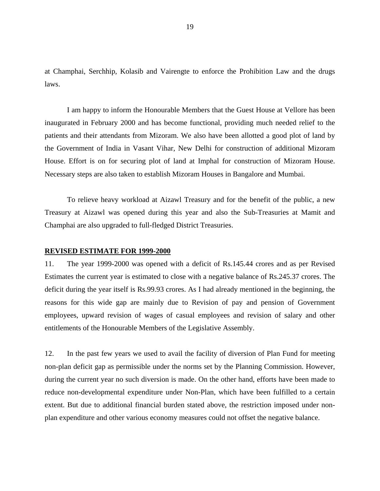at Champhai, Serchhip, Kolasib and Vairengte to enforce the Prohibition Law and the drugs laws.

I am happy to inform the Honourable Members that the Guest House at Vellore has been inaugurated in February 2000 and has become functional, providing much needed relief to the patients and their attendants from Mizoram. We also have been allotted a good plot of land by the Government of India in Vasant Vihar, New Delhi for construction of additional Mizoram House. Effort is on for securing plot of land at Imphal for construction of Mizoram House. Necessary steps are also taken to establish Mizoram Houses in Bangalore and Mumbai.

To relieve heavy workload at Aizawl Treasury and for the benefit of the public, a new Treasury at Aizawl was opened during this year and also the Sub-Treasuries at Mamit and Champhai are also upgraded to full-fledged District Treasuries.

#### **REVISED ESTIMATE FOR 1999-2000**

11. The year 1999-2000 was opened with a deficit of Rs.145.44 crores and as per Revised Estimates the current year is estimated to close with a negative balance of Rs.245.37 crores. The deficit during the year itself is Rs.99.93 crores. As I had already mentioned in the beginning, the reasons for this wide gap are mainly due to Revision of pay and pension of Government employees, upward revision of wages of casual employees and revision of salary and other entitlements of the Honourable Members of the Legislative Assembly.

12. In the past few years we used to avail the facility of diversion of Plan Fund for meeting non-plan deficit gap as permissible under the norms set by the Planning Commission. However, during the current year no such diversion is made. On the other hand, efforts have been made to reduce non-developmental expenditure under Non-Plan, which have been fulfilled to a certain extent. But due to additional financial burden stated above, the restriction imposed under nonplan expenditure and other various economy measures could not offset the negative balance.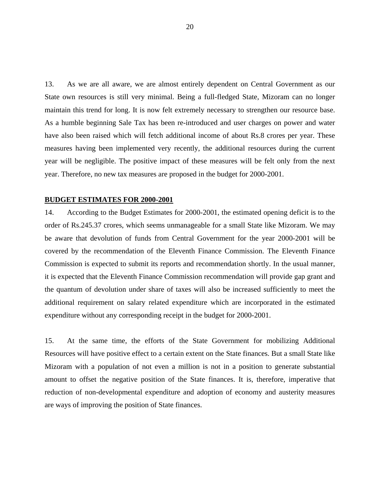13. As we are all aware, we are almost entirely dependent on Central Government as our State own resources is still very minimal. Being a full-fledged State, Mizoram can no longer maintain this trend for long. It is now felt extremely necessary to strengthen our resource base. As a humble beginning Sale Tax has been re-introduced and user charges on power and water have also been raised which will fetch additional income of about Rs.8 crores per year. These measures having been implemented very recently, the additional resources during the current year will be negligible. The positive impact of these measures will be felt only from the next year. Therefore, no new tax measures are proposed in the budget for 2000-2001.

#### **BUDGET ESTIMATES FOR 2000-2001**

14. According to the Budget Estimates for 2000-2001, the estimated opening deficit is to the order of Rs.245.37 crores, which seems unmanageable for a small State like Mizoram. We may be aware that devolution of funds from Central Government for the year 2000-2001 will be covered by the recommendation of the Eleventh Finance Commission. The Eleventh Finance Commission is expected to submit its reports and recommendation shortly. In the usual manner, it is expected that the Eleventh Finance Commission recommendation will provide gap grant and the quantum of devolution under share of taxes will also be increased sufficiently to meet the additional requirement on salary related expenditure which are incorporated in the estimated expenditure without any corresponding receipt in the budget for 2000-2001.

15. At the same time, the efforts of the State Government for mobilizing Additional Resources will have positive effect to a certain extent on the State finances. But a small State like Mizoram with a population of not even a million is not in a position to generate substantial amount to offset the negative position of the State finances. It is, therefore, imperative that reduction of non-developmental expenditure and adoption of economy and austerity measures are ways of improving the position of State finances.